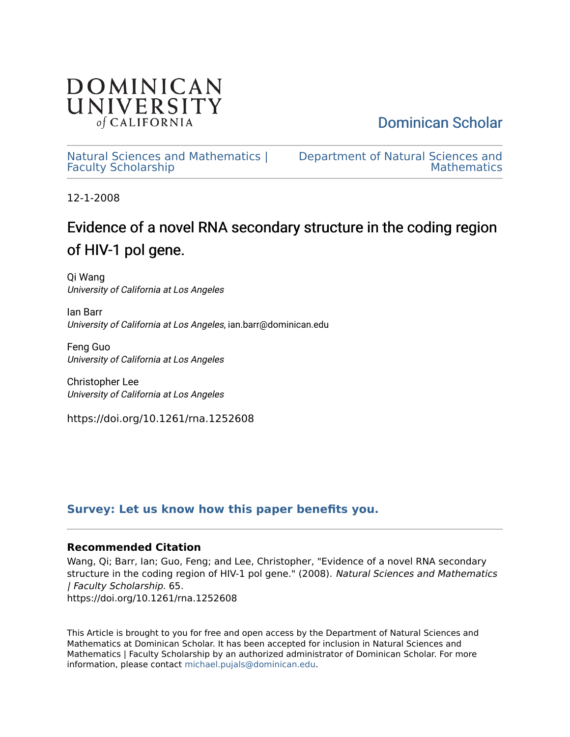

[Dominican Scholar](https://scholar.dominican.edu/) 

[Natural Sciences and Mathematics |](https://scholar.dominican.edu/natural-sciences-and-mathematics-faculty-scholarship) [Faculty Scholarship](https://scholar.dominican.edu/natural-sciences-and-mathematics-faculty-scholarship) 

[Department of Natural Sciences and](https://scholar.dominican.edu/natural-sciences-and-mathematics)  **Mathematics** 

12-1-2008

# Evidence of a novel RNA secondary structure in the coding region of HIV-1 pol gene.

Qi Wang University of California at Los Angeles

Ian Barr University of California at Los Angeles, ian.barr@dominican.edu

Feng Guo University of California at Los Angeles

Christopher Lee University of California at Los Angeles

https://doi.org/10.1261/rna.1252608

# **[Survey: Let us know how this paper benefits you.](https://dominican.libwizard.com/dominican-scholar-feedback)**

# **Recommended Citation**

Wang, Qi; Barr, Ian; Guo, Feng; and Lee, Christopher, "Evidence of a novel RNA secondary structure in the coding region of HIV-1 pol gene." (2008). Natural Sciences and Mathematics | Faculty Scholarship. 65. https://doi.org/10.1261/rna.1252608

This Article is brought to you for free and open access by the Department of Natural Sciences and Mathematics at Dominican Scholar. It has been accepted for inclusion in Natural Sciences and Mathematics | Faculty Scholarship by an authorized administrator of Dominican Scholar. For more information, please contact [michael.pujals@dominican.edu](mailto:michael.pujals@dominican.edu).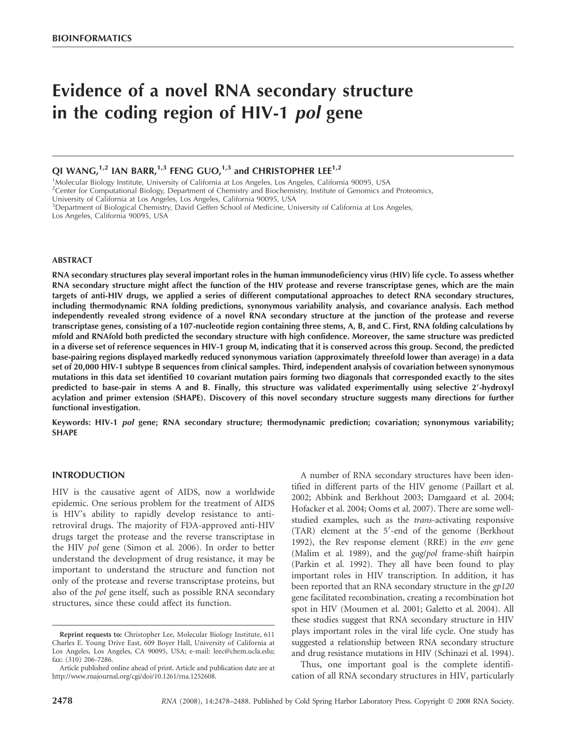# Evidence of a novel RNA secondary structure in the coding region of HIV-1 pol gene

# OI WANG, $^{1,2}$  IAN BARR, $^{1,3}$  FENG GUO, $^{1,3}$  and CHRISTOPHER LEE<sup>1,2</sup>

<sup>1</sup>Molecular Biology Institute, University of California at Los Angeles, Los Angeles, California 90095, USA

<sup>2</sup> Center for Computational Biology, Department of Chemistry and Biochemistry, Institute of Genomics and Proteomics,

University of California at Los Angeles, Los Angeles, California 90095, USA

3 Department of Biological Chemistry, David Geffen School of Medicine, University of California at Los Angeles,

Los Angeles, California 90095, USA

#### ABSTRACT

RNA secondary structures play several important roles in the human immunodeficiency virus (HIV) life cycle. To assess whether RNA secondary structure might affect the function of the HIV protease and reverse transcriptase genes, which are the main targets of anti-HIV drugs, we applied a series of different computational approaches to detect RNA secondary structures, including thermodynamic RNA folding predictions, synonymous variability analysis, and covariance analysis. Each method independently revealed strong evidence of a novel RNA secondary structure at the junction of the protease and reverse transcriptase genes, consisting of a 107-nucleotide region containing three stems, A, B, and C. First, RNA folding calculations by mfold and RNAfold both predicted the secondary structure with high confidence. Moreover, the same structure was predicted in a diverse set of reference sequences in HIV-1 group M, indicating that it is conserved across this group. Second, the predicted base-pairing regions displayed markedly reduced synonymous variation (approximately threefold lower than average) in a data set of 20,000 HIV-1 subtype B sequences from clinical samples. Third, independent analysis of covariation between synonymous mutations in this data set identified 10 covariant mutation pairs forming two diagonals that corresponded exactly to the sites predicted to base-pair in stems A and B. Finally, this structure was validated experimentally using selective 2'-hydroxyl acylation and primer extension (SHAPE). Discovery of this novel secondary structure suggests many directions for further functional investigation.

Keywords: HIV-1 pol gene; RNA secondary structure; thermodynamic prediction; covariation; synonymous variability; SHAPE

# INTRODUCTION

HIV is the causative agent of AIDS, now a worldwide epidemic. One serious problem for the treatment of AIDS is HIV's ability to rapidly develop resistance to antiretroviral drugs. The majority of FDA-approved anti-HIV drugs target the protease and the reverse transcriptase in the HIV pol gene (Simon et al. 2006). In order to better understand the development of drug resistance, it may be important to understand the structure and function not only of the protease and reverse transcriptase proteins, but also of the pol gene itself, such as possible RNA secondary structures, since these could affect its function.

A number of RNA secondary structures have been identified in different parts of the HIV genome (Paillart et al. 2002; Abbink and Berkhout 2003; Damgaard et al. 2004; Hofacker et al. 2004; Ooms et al. 2007). There are some wellstudied examples, such as the trans-activating responsive (TAR) element at the 5'-end of the genome (Berkhout 1992), the Rev response element (RRE) in the *env* gene (Malim et al. 1989), and the gag/pol frame-shift hairpin (Parkin et al. 1992). They all have been found to play important roles in HIV transcription. In addition, it has been reported that an RNA secondary structure in the gp120 gene facilitated recombination, creating a recombination hot spot in HIV (Moumen et al. 2001; Galetto et al. 2004). All these studies suggest that RNA secondary structure in HIV plays important roles in the viral life cycle. One study has suggested a relationship between RNA secondary structure and drug resistance mutations in HIV (Schinazi et al. 1994).

Thus, one important goal is the complete identification of all RNA secondary structures in HIV, particularly

Reprint requests to: Christopher Lee, Molecular Biology Institute, 611 Charles E. Young Drive East, 609 Boyer Hall, University of California at Los Angeles, Los Angeles, CA 90095, USA; e-mail: leec@chem.ucla.edu; fax: (310) 206-7286.

Article published online ahead of print. Article and publication date are at http://www.rnajournal.org/cgi/doi/10.1261/rna.1252608.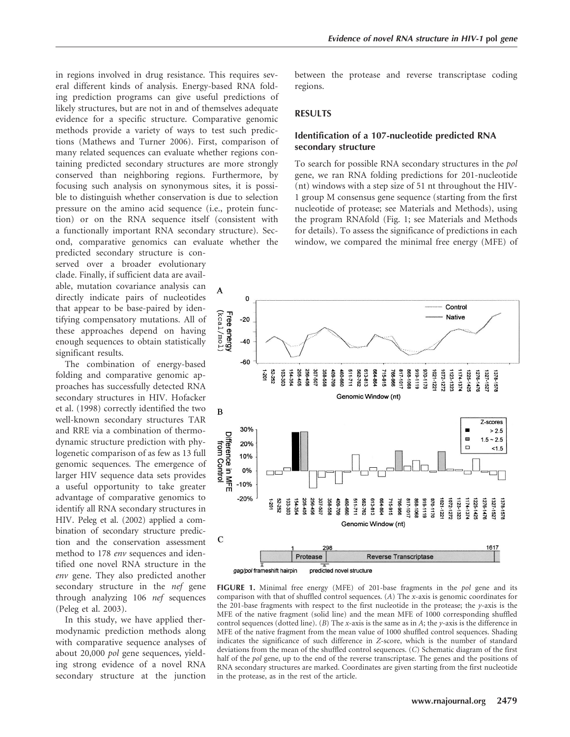in regions involved in drug resistance. This requires several different kinds of analysis. Energy-based RNA folding prediction programs can give useful predictions of likely structures, but are not in and of themselves adequate evidence for a specific structure. Comparative genomic methods provide a variety of ways to test such predictions (Mathews and Turner 2006). First, comparison of many related sequences can evaluate whether regions containing predicted secondary structures are more strongly conserved than neighboring regions. Furthermore, by focusing such analysis on synonymous sites, it is possible to distinguish whether conservation is due to selection pressure on the amino acid sequence (i.e., protein function) or on the RNA sequence itself (consistent with a functionally important RNA secondary structure). Second, comparative genomics can evaluate whether the

predicted secondary structure is conserved over a broader evolutionary clade. Finally, if sufficient data are available, mutation covariance analysis can directly indicate pairs of nucleotides that appear to be base-paired by identifying compensatory mutations. All of these approaches depend on having enough sequences to obtain statistically significant results.

The combination of energy-based folding and comparative genomic approaches has successfully detected RNA secondary structures in HIV. Hofacker et al. (1998) correctly identified the two well-known secondary structures TAR and RRE via a combination of thermodynamic structure prediction with phylogenetic comparison of as few as 13 full genomic sequences. The emergence of larger HIV sequence data sets provides a useful opportunity to take greater advantage of comparative genomics to identify all RNA secondary structures in HIV. Peleg et al. (2002) applied a combination of secondary structure prediction and the conservation assessment method to 178 env sequences and identified one novel RNA structure in the env gene. They also predicted another secondary structure in the *nef* gene through analyzing 106 nef sequences (Peleg et al. 2003).

In this study, we have applied thermodynamic prediction methods along with comparative sequence analyses of about 20,000 pol gene sequences, yielding strong evidence of a novel RNA secondary structure at the junction between the protease and reverse transcriptase coding regions.

# RESULTS

## Identification of a 107-nucleotide predicted RNA secondary structure

To search for possible RNA secondary structures in the pol gene, we ran RNA folding predictions for 201-nucleotide (nt) windows with a step size of 51 nt throughout the HIV-1 group M consensus gene sequence (starting from the first nucleotide of protease; see Materials and Methods), using the program RNAfold (Fig. 1; see Materials and Methods for details). To assess the significance of predictions in each window, we compared the minimal free energy (MFE) of



FIGURE 1. Minimal free energy (MFE) of 201-base fragments in the pol gene and its comparison with that of shuffled control sequences. (A) The x-axis is genomic coordinates for the 201-base fragments with respect to the first nucleotide in the protease; the  $y$ -axis is the MFE of the native fragment (solid line) and the mean MFE of 1000 corresponding shuffled control sequences (dotted line). (B) The x-axis is the same as in A; the y-axis is the difference in MFE of the native fragment from the mean value of 1000 shuffled control sequences. Shading indicates the significance of such difference in Z-score, which is the number of standard deviations from the mean of the shuffled control sequences. (C) Schematic diagram of the first half of the *pol* gene, up to the end of the reverse transcriptase. The genes and the positions of RNA secondary structures are marked. Coordinates are given starting from the first nucleotide in the protease, as in the rest of the article.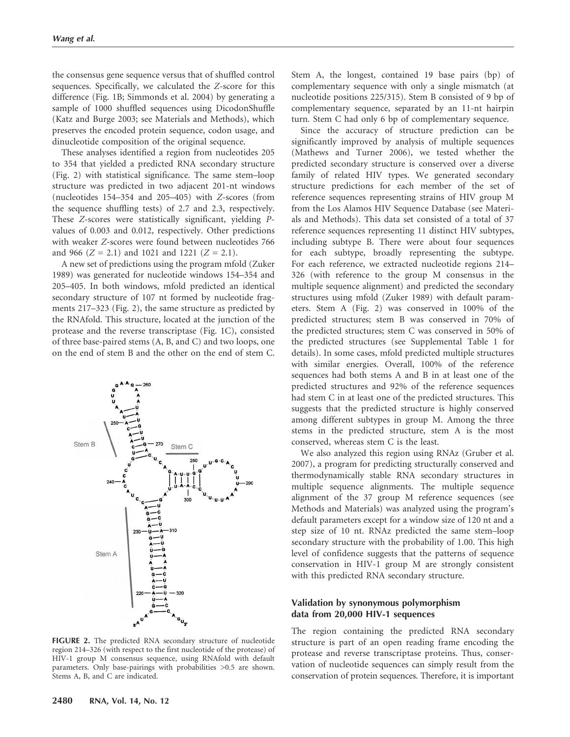the consensus gene sequence versus that of shuffled control sequences. Specifically, we calculated the Z-score for this difference (Fig. 1B; Simmonds et al. 2004) by generating a sample of 1000 shuffled sequences using DicodonShuffle (Katz and Burge 2003; see Materials and Methods), which preserves the encoded protein sequence, codon usage, and dinucleotide composition of the original sequence.

These analyses identified a region from nucleotides 205 to 354 that yielded a predicted RNA secondary structure (Fig. 2) with statistical significance. The same stem–loop structure was predicted in two adjacent 201-nt windows (nucleotides 154–354 and 205–405) with Z-scores (from the sequence shuffling tests) of 2.7 and 2.3, respectively. These Z-scores were statistically significant, yielding Pvalues of 0.003 and 0.012, respectively. Other predictions with weaker Z-scores were found between nucleotides 766 and 966 ( $Z = 2.1$ ) and 1021 and 1221 ( $Z = 2.1$ ).

A new set of predictions using the program mfold (Zuker 1989) was generated for nucleotide windows 154–354 and 205–405. In both windows, mfold predicted an identical secondary structure of 107 nt formed by nucleotide fragments 217–323 (Fig. 2), the same structure as predicted by the RNAfold. This structure, located at the junction of the protease and the reverse transcriptase (Fig. 1C), consisted of three base-paired stems (A, B, and C) and two loops, one on the end of stem B and the other on the end of stem C.



FIGURE 2. The predicted RNA secondary structure of nucleotide region 214–326 (with respect to the first nucleotide of the protease) of HIV-1 group M consensus sequence, using RNAfold with default parameters. Only base-pairings with probabilities >0.5 are shown. Stems A, B, and C are indicated.

Stem A, the longest, contained 19 base pairs (bp) of complementary sequence with only a single mismatch (at nucleotide positions 225/315). Stem B consisted of 9 bp of complementary sequence, separated by an 11-nt hairpin turn. Stem C had only 6 bp of complementary sequence.

Since the accuracy of structure prediction can be significantly improved by analysis of multiple sequences (Mathews and Turner 2006), we tested whether the predicted secondary structure is conserved over a diverse family of related HIV types. We generated secondary structure predictions for each member of the set of reference sequences representing strains of HIV group M from the Los Alamos HIV Sequence Database (see Materials and Methods). This data set consisted of a total of 37 reference sequences representing 11 distinct HIV subtypes, including subtype B. There were about four sequences for each subtype, broadly representing the subtype. For each reference, we extracted nucleotide regions 214– 326 (with reference to the group M consensus in the multiple sequence alignment) and predicted the secondary structures using mfold (Zuker 1989) with default parameters. Stem A (Fig. 2) was conserved in 100% of the predicted structures; stem B was conserved in 70% of the predicted structures; stem C was conserved in 50% of the predicted structures (see Supplemental Table 1 for details). In some cases, mfold predicted multiple structures with similar energies. Overall, 100% of the reference sequences had both stems A and B in at least one of the predicted structures and 92% of the reference sequences had stem C in at least one of the predicted structures. This suggests that the predicted structure is highly conserved among different subtypes in group M. Among the three stems in the predicted structure, stem A is the most conserved, whereas stem C is the least.

We also analyzed this region using RNAz (Gruber et al. 2007), a program for predicting structurally conserved and thermodynamically stable RNA secondary structures in multiple sequence alignments. The multiple sequence alignment of the 37 group M reference sequences (see Methods and Materials) was analyzed using the program's default parameters except for a window size of 120 nt and a step size of 10 nt. RNAz predicted the same stem–loop secondary structure with the probability of 1.00. This high level of confidence suggests that the patterns of sequence conservation in HIV-1 group M are strongly consistent with this predicted RNA secondary structure.

# Validation by synonymous polymorphism data from 20,000 HIV-1 sequences

The region containing the predicted RNA secondary structure is part of an open reading frame encoding the protease and reverse transcriptase proteins. Thus, conservation of nucleotide sequences can simply result from the conservation of protein sequences. Therefore, it is important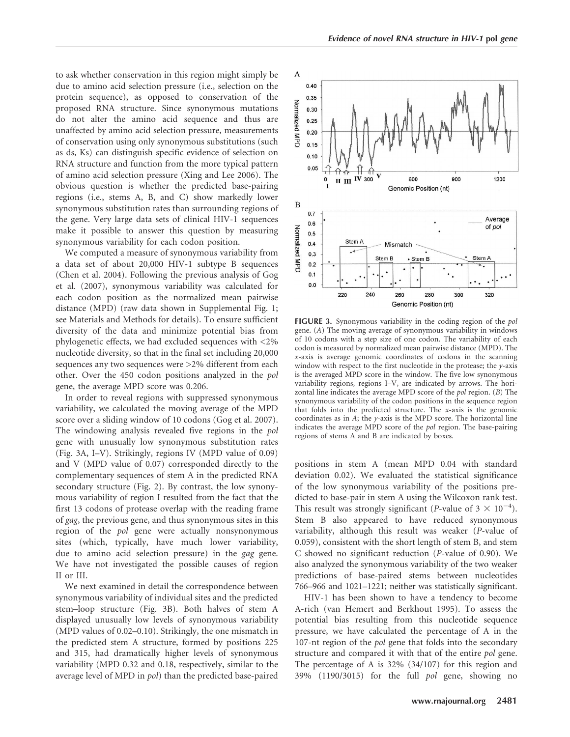to ask whether conservation in this region might simply be due to amino acid selection pressure (i.e., selection on the protein sequence), as opposed to conservation of the proposed RNA structure. Since synonymous mutations do not alter the amino acid sequence and thus are unaffected by amino acid selection pressure, measurements of conservation using only synonymous substitutions (such as ds, Ks) can distinguish specific evidence of selection on RNA structure and function from the more typical pattern of amino acid selection pressure (Xing and Lee 2006). The obvious question is whether the predicted base-pairing regions (i.e., stems A, B, and C) show markedly lower synonymous substitution rates than surrounding regions of the gene. Very large data sets of clinical HIV-1 sequences make it possible to answer this question by measuring synonymous variability for each codon position.

We computed a measure of synonymous variability from a data set of about 20,000 HIV-1 subtype B sequences (Chen et al. 2004). Following the previous analysis of Gog et al. (2007), synonymous variability was calculated for each codon position as the normalized mean pairwise distance (MPD) (raw data shown in Supplemental Fig. 1; see Materials and Methods for details). To ensure sufficient diversity of the data and minimize potential bias from phylogenetic effects, we had excluded sequences with <2% nucleotide diversity, so that in the final set including 20,000 sequences any two sequences were >2% different from each other. Over the 450 codon positions analyzed in the pol gene, the average MPD score was 0.206.

In order to reveal regions with suppressed synonymous variability, we calculated the moving average of the MPD score over a sliding window of 10 codons (Gog et al. 2007). The windowing analysis revealed five regions in the pol gene with unusually low synonymous substitution rates (Fig. 3A, I–V). Strikingly, regions IV (MPD value of 0.09) and V (MPD value of 0.07) corresponded directly to the complementary sequences of stem A in the predicted RNA secondary structure (Fig. 2). By contrast, the low synonymous variability of region I resulted from the fact that the first 13 codons of protease overlap with the reading frame of gag, the previous gene, and thus synonymous sites in this region of the pol gene were actually nonsynonymous sites (which, typically, have much lower variability, due to amino acid selection pressure) in the gag gene. We have not investigated the possible causes of region II or III.

We next examined in detail the correspondence between synonymous variability of individual sites and the predicted stem–loop structure (Fig. 3B). Both halves of stem A displayed unusually low levels of synonymous variability (MPD values of 0.02–0.10). Strikingly, the one mismatch in the predicted stem A structure, formed by positions 225 and 315, had dramatically higher levels of synonymous variability (MPD 0.32 and 0.18, respectively, similar to the average level of MPD in pol) than the predicted base-paired



FIGURE 3. Synonymous variability in the coding region of the pol gene. (A) The moving average of synonymous variability in windows of 10 codons with a step size of one codon. The variability of each codon is measured by normalized mean pairwise distance (MPD). The x-axis is average genomic coordinates of codons in the scanning window with respect to the first nucleotide in the protease; the  $y$ -axis is the averaged MPD score in the window. The five low synonymous variability regions, regions I–V, are indicated by arrows. The horizontal line indicates the average MPD score of the pol region. (B) The synonymous variability of the codon positions in the sequence region that folds into the predicted structure. The  $x$ -axis is the genomic coordinates as in A; the y-axis is the MPD score. The horizontal line indicates the average MPD score of the pol region. The base-pairing regions of stems A and B are indicated by boxes.

positions in stem A (mean MPD 0.04 with standard deviation 0.02). We evaluated the statistical significance of the low synonymous variability of the positions predicted to base-pair in stem A using the Wilcoxon rank test. This result was strongly significant (*P*-value of  $3 \times 10^{-4}$ ). Stem B also appeared to have reduced synonymous variability, although this result was weaker (P-value of 0.059), consistent with the short length of stem B, and stem C showed no significant reduction (P-value of 0.90). We also analyzed the synonymous variability of the two weaker predictions of base-paired stems between nucleotides 766–966 and 1021–1221; neither was statistically significant.

HIV-1 has been shown to have a tendency to become A-rich (van Hemert and Berkhout 1995). To assess the potential bias resulting from this nucleotide sequence pressure, we have calculated the percentage of A in the 107-nt region of the pol gene that folds into the secondary structure and compared it with that of the entire pol gene. The percentage of A is 32% (34/107) for this region and 39% (1190/3015) for the full pol gene, showing no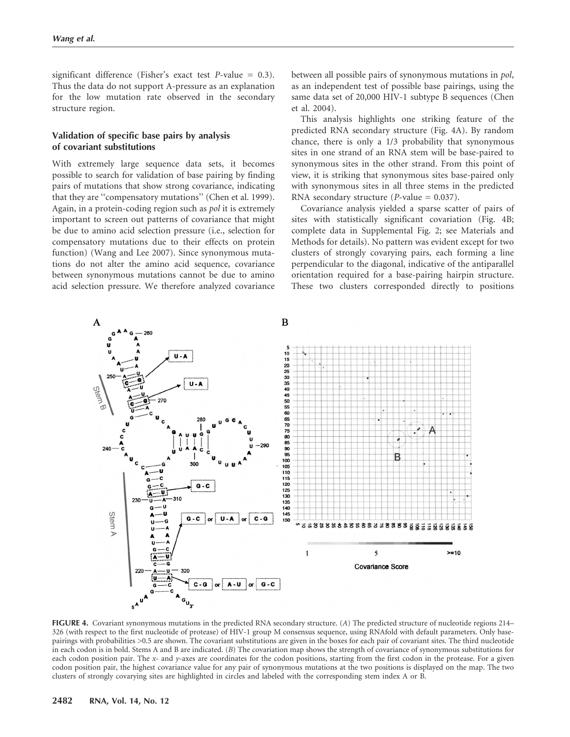significant difference (Fisher's exact test  $P$ -value = 0.3). Thus the data do not support A-pressure as an explanation for the low mutation rate observed in the secondary structure region.

# Validation of specific base pairs by analysis of covariant substitutions

With extremely large sequence data sets, it becomes possible to search for validation of base pairing by finding pairs of mutations that show strong covariance, indicating that they are ''compensatory mutations'' (Chen et al. 1999). Again, in a protein-coding region such as pol it is extremely important to screen out patterns of covariance that might be due to amino acid selection pressure (i.e., selection for compensatory mutations due to their effects on protein function) (Wang and Lee 2007). Since synonymous mutations do not alter the amino acid sequence, covariance between synonymous mutations cannot be due to amino acid selection pressure. We therefore analyzed covariance

between all possible pairs of synonymous mutations in pol, as an independent test of possible base pairings, using the same data set of 20,000 HIV-1 subtype B sequences (Chen et al. 2004).

This analysis highlights one striking feature of the predicted RNA secondary structure (Fig. 4A). By random chance, there is only a 1/3 probability that synonymous sites in one strand of an RNA stem will be base-paired to synonymous sites in the other strand. From this point of view, it is striking that synonymous sites base-paired only with synonymous sites in all three stems in the predicted RNA secondary structure (*P*-value =  $0.037$ ).

Covariance analysis yielded a sparse scatter of pairs of sites with statistically significant covariation (Fig. 4B; complete data in Supplemental Fig. 2; see Materials and Methods for details). No pattern was evident except for two clusters of strongly covarying pairs, each forming a line perpendicular to the diagonal, indicative of the antiparallel orientation required for a base-pairing hairpin structure. These two clusters corresponded directly to positions



FIGURE 4. Covariant synonymous mutations in the predicted RNA secondary structure. (A) The predicted structure of nucleotide regions 214– 326 (with respect to the first nucleotide of protease) of HIV-1 group M consensus sequence, using RNAfold with default parameters. Only basepairings with probabilities >0.5 are shown. The covariant substitutions are given in the boxes for each pair of covariant sites. The third nucleotide in each codon is in bold. Stems A and B are indicated. (B) The covariation map shows the strength of covariance of synonymous substitutions for each codon position pair. The x- and y-axes are coordinates for the codon positions, starting from the first codon in the protease. For a given codon position pair, the highest covariance value for any pair of synonymous mutations at the two positions is displayed on the map. The two clusters of strongly covarying sites are highlighted in circles and labeled with the corresponding stem index A or B.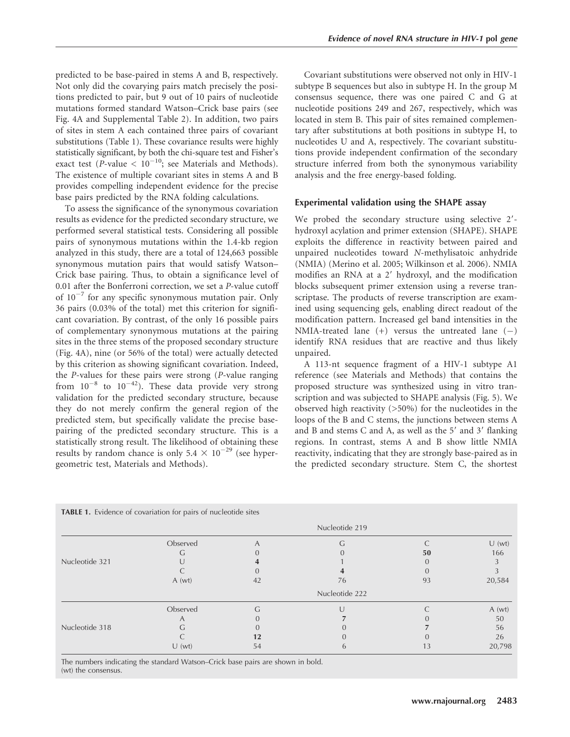predicted to be base-paired in stems A and B, respectively. Not only did the covarying pairs match precisely the positions predicted to pair, but 9 out of 10 pairs of nucleotide mutations formed standard Watson–Crick base pairs (see Fig. 4A and Supplemental Table 2). In addition, two pairs of sites in stem A each contained three pairs of covariant substitutions (Table 1). These covariance results were highly statistically significant, by both the chi-square test and Fisher's exact test (P-value  $< 10^{-10}$ ; see Materials and Methods). The existence of multiple covariant sites in stems A and B provides compelling independent evidence for the precise base pairs predicted by the RNA folding calculations.

To assess the significance of the synonymous covariation results as evidence for the predicted secondary structure, we performed several statistical tests. Considering all possible pairs of synonymous mutations within the 1.4-kb region analyzed in this study, there are a total of 124,663 possible synonymous mutation pairs that would satisfy Watson– Crick base pairing. Thus, to obtain a significance level of 0.01 after the Bonferroni correction, we set a P-value cutoff of  $10^{-7}$  for any specific synonymous mutation pair. Only 36 pairs (0.03% of the total) met this criterion for significant covariation. By contrast, of the only 16 possible pairs of complementary synonymous mutations at the pairing sites in the three stems of the proposed secondary structure (Fig. 4A), nine (or 56% of the total) were actually detected by this criterion as showing significant covariation. Indeed, the P-values for these pairs were strong (P-value ranging from  $10^{-8}$  to  $10^{-42}$ ). These data provide very strong validation for the predicted secondary structure, because they do not merely confirm the general region of the predicted stem, but specifically validate the precise basepairing of the predicted secondary structure. This is a statistically strong result. The likelihood of obtaining these results by random chance is only  $5.4 \times 10^{-29}$  (see hypergeometric test, Materials and Methods).

Covariant substitutions were observed not only in HIV-1 subtype B sequences but also in subtype H. In the group M consensus sequence, there was one paired C and G at nucleotide positions 249 and 267, respectively, which was located in stem B. This pair of sites remained complementary after substitutions at both positions in subtype H, to nucleotides U and A, respectively. The covariant substitutions provide independent confirmation of the secondary structure inferred from both the synonymous variability analysis and the free energy-based folding.

#### Experimental validation using the SHAPE assay

We probed the secondary structure using selective 2'hydroxyl acylation and primer extension (SHAPE). SHAPE exploits the difference in reactivity between paired and unpaired nucleotides toward N-methylisatoic anhydride (NMIA) (Merino et al. 2005; Wilkinson et al. 2006). NMIA modifies an RNA at a 2' hydroxyl, and the modification blocks subsequent primer extension using a reverse transcriptase. The products of reverse transcription are examined using sequencing gels, enabling direct readout of the modification pattern. Increased gel band intensities in the NMIA-treated lane  $(+)$  versus the untreated lane  $(-)$ identify RNA residues that are reactive and thus likely unpaired.

A 113-nt sequence fragment of a HIV-1 subtype A1 reference (see Materials and Methods) that contains the proposed structure was synthesized using in vitro transcription and was subjected to SHAPE analysis (Fig. 5). We observed high reactivity (>50%) for the nucleotides in the loops of the B and C stems, the junctions between stems A and B and stems C and A, as well as the  $5'$  and  $3'$  flanking regions. In contrast, stems A and B show little NMIA reactivity, indicating that they are strongly base-paired as in the predicted secondary structure. Stem C, the shortest

|                | Observed       | A  |               |    | U(wt)  |
|----------------|----------------|----|---------------|----|--------|
|                |                |    |               | 50 | 166    |
| Nucleotide 321 |                |    |               |    |        |
|                |                |    |               |    |        |
|                | A(wt)          | 42 | 76            | 93 | 20,584 |
|                | Nucleotide 222 |    |               |    |        |
|                | Observed       | G  |               |    | A(wt)  |
|                | A              |    |               |    | 50     |
| Nucleotide 318 | G              |    |               |    | 56     |
|                |                | 12 |               |    | 26     |
|                | U(wt)          | 54 | $\mathfrak b$ | 13 | 20,798 |

The numbers indicating the standard Watson–Crick base pairs are shown in bold. (wt) the consensus.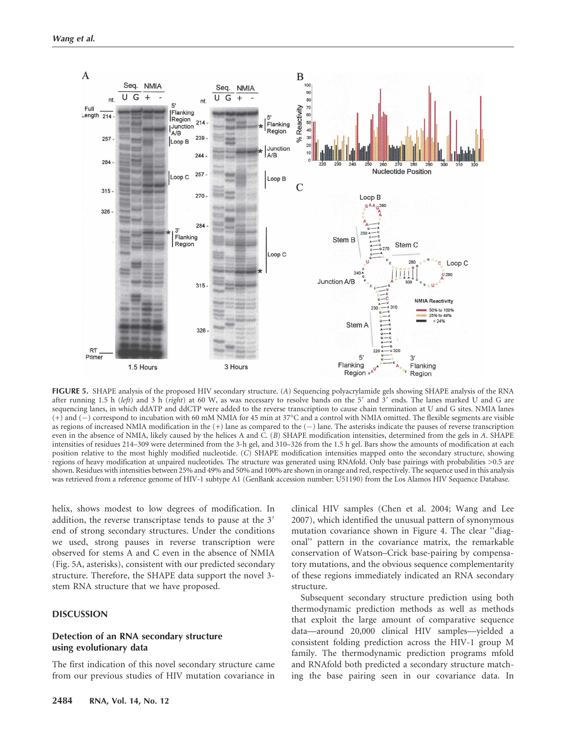

FIGURE 5. SHAPE analysis of the proposed HIV secondary structure. (A) Sequencing polyacrylamide gels showing SHAPE analysis of the RNA after running 1.5 h (left) and 3 h (right) at 60 W, as was necessary to resolve bands on the 5' and 3' ends. The lanes marked U and G are sequencing lanes, in which ddATP and ddCTP were added to the reverse transcription to cause chain termination at U and G sites. NMIA lanes  $(+)$  and  $(-)$  correspond to incubation with 60 mM NMIA for 45 min at 37°C and a control with NMIA omitted. The flexible segments are visible as regions of increased NMIA modification in the (+) lane as compared to the (-) lane. The asterisks indicate the pauses of reverse transcription even in the absence of NMIA, likely caused by the helices A and C. (B) SHAPE modification intensities, determined from the gels in A. SHAPE intensities of residues 214–309 were determined from the 3-h gel, and 310–326 from the 1.5 h gel. Bars show the amounts of modification at each position relative to the most highly modified nucleotide. (C) SHAPE modification intensities mapped onto the secondary structure, showing regions of heavy modification at unpaired nucleotides. The structure was generated using RNAfold. Only base pairings with probabilities >0.5 are shown. Residues with intensities between 25% and 49% and 50% and 100% are shown in orange and red, respectively. The sequence used in this analysis was retrieved from a reference genome of HIV-1 subtype A1 (GenBank accession number: U51190) from the Los Alamos HIV Sequence Database.

helix, shows modest to low degrees of modification. In addition, the reverse transcriptase tends to pause at the 3' end of strong secondary structures. Under the conditions we used, strong pauses in reverse transcription were observed for stems A and C even in the absence of NMIA (Fig. 5A, asterisks), consistent with our predicted secondary structure. Therefore, the SHAPE data support the novel 3 stem RNA structure that we have proposed.

#### DISCUSSION

# Detection of an RNA secondary structure using evolutionary data

The first indication of this novel secondary structure came from our previous studies of HIV mutation covariance in clinical HIV samples (Chen et al. 2004; Wang and Lee 2007), which identified the unusual pattern of synonymous mutation covariance shown in Figure 4. The clear ''diagonal'' pattern in the covariance matrix, the remarkable conservation of Watson–Crick base-pairing by compensatory mutations, and the obvious sequence complementarity of these regions immediately indicated an RNA secondary structure.

Subsequent secondary structure prediction using both thermodynamic prediction methods as well as methods that exploit the large amount of comparative sequence data—around 20,000 clinical HIV samples—yielded a consistent folding prediction across the HIV-1 group M family. The thermodynamic prediction programs mfold and RNAfold both predicted a secondary structure matching the base pairing seen in our covariance data. In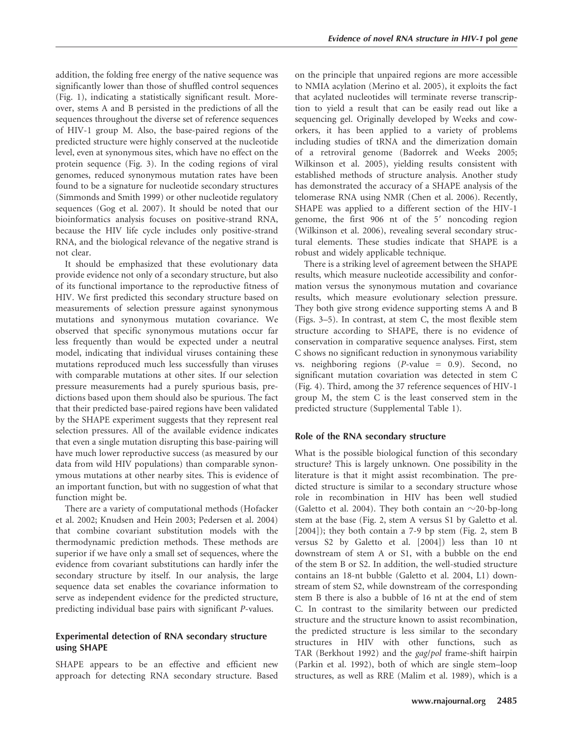addition, the folding free energy of the native sequence was significantly lower than those of shuffled control sequences (Fig. 1), indicating a statistically significant result. Moreover, stems A and B persisted in the predictions of all the sequences throughout the diverse set of reference sequences of HIV-1 group M. Also, the base-paired regions of the predicted structure were highly conserved at the nucleotide level, even at synonymous sites, which have no effect on the protein sequence (Fig. 3). In the coding regions of viral genomes, reduced synonymous mutation rates have been found to be a signature for nucleotide secondary structures (Simmonds and Smith 1999) or other nucleotide regulatory sequences (Gog et al. 2007). It should be noted that our bioinformatics analysis focuses on positive-strand RNA, because the HIV life cycle includes only positive-strand RNA, and the biological relevance of the negative strand is not clear.

It should be emphasized that these evolutionary data provide evidence not only of a secondary structure, but also of its functional importance to the reproductive fitness of HIV. We first predicted this secondary structure based on measurements of selection pressure against synonymous mutations and synonymous mutation covariance. We observed that specific synonymous mutations occur far less frequently than would be expected under a neutral model, indicating that individual viruses containing these mutations reproduced much less successfully than viruses with comparable mutations at other sites. If our selection pressure measurements had a purely spurious basis, predictions based upon them should also be spurious. The fact that their predicted base-paired regions have been validated by the SHAPE experiment suggests that they represent real selection pressures. All of the available evidence indicates that even a single mutation disrupting this base-pairing will have much lower reproductive success (as measured by our data from wild HIV populations) than comparable synonymous mutations at other nearby sites. This is evidence of an important function, but with no suggestion of what that function might be.

There are a variety of computational methods (Hofacker et al. 2002; Knudsen and Hein 2003; Pedersen et al. 2004) that combine covariant substitution models with the thermodynamic prediction methods. These methods are superior if we have only a small set of sequences, where the evidence from covariant substitutions can hardly infer the secondary structure by itself. In our analysis, the large sequence data set enables the covariance information to serve as independent evidence for the predicted structure, predicting individual base pairs with significant P-values.

# Experimental detection of RNA secondary structure using SHAPE

SHAPE appears to be an effective and efficient new approach for detecting RNA secondary structure. Based on the principle that unpaired regions are more accessible to NMIA acylation (Merino et al. 2005), it exploits the fact that acylated nucleotides will terminate reverse transcription to yield a result that can be easily read out like a sequencing gel. Originally developed by Weeks and coworkers, it has been applied to a variety of problems including studies of tRNA and the dimerization domain of a retroviral genome (Badorrek and Weeks 2005; Wilkinson et al. 2005), yielding results consistent with established methods of structure analysis. Another study has demonstrated the accuracy of a SHAPE analysis of the telomerase RNA using NMR (Chen et al. 2006). Recently, SHAPE was applied to a different section of the HIV-1 genome, the first 906 nt of the 5' noncoding region (Wilkinson et al. 2006), revealing several secondary structural elements. These studies indicate that SHAPE is a robust and widely applicable technique.

There is a striking level of agreement between the SHAPE results, which measure nucleotide accessibility and conformation versus the synonymous mutation and covariance results, which measure evolutionary selection pressure. They both give strong evidence supporting stems A and B (Figs. 3–5). In contrast, at stem C, the most flexible stem structure according to SHAPE, there is no evidence of conservation in comparative sequence analyses. First, stem C shows no significant reduction in synonymous variability vs. neighboring regions (P-value = 0.9). Second, no significant mutation covariation was detected in stem C (Fig. 4). Third, among the 37 reference sequences of HIV-1 group M, the stem C is the least conserved stem in the predicted structure (Supplemental Table 1).

# Role of the RNA secondary structure

What is the possible biological function of this secondary structure? This is largely unknown. One possibility in the literature is that it might assist recombination. The predicted structure is similar to a secondary structure whose role in recombination in HIV has been well studied (Galetto et al. 2004). They both contain an  $\sim$ 20-bp-long stem at the base (Fig. 2, stem A versus S1 by Galetto et al. [2004]); they both contain a 7-9 bp stem (Fig. 2, stem B versus S2 by Galetto et al. [2004]) less than 10 nt downstream of stem A or S1, with a bubble on the end of the stem B or S2. In addition, the well-studied structure contains an 18-nt bubble (Galetto et al. 2004, L1) downstream of stem S2, while downstream of the corresponding stem B there is also a bubble of 16 nt at the end of stem C. In contrast to the similarity between our predicted structure and the structure known to assist recombination, the predicted structure is less similar to the secondary structures in HIV with other functions, such as TAR (Berkhout 1992) and the gag/pol frame-shift hairpin (Parkin et al. 1992), both of which are single stem–loop structures, as well as RRE (Malim et al. 1989), which is a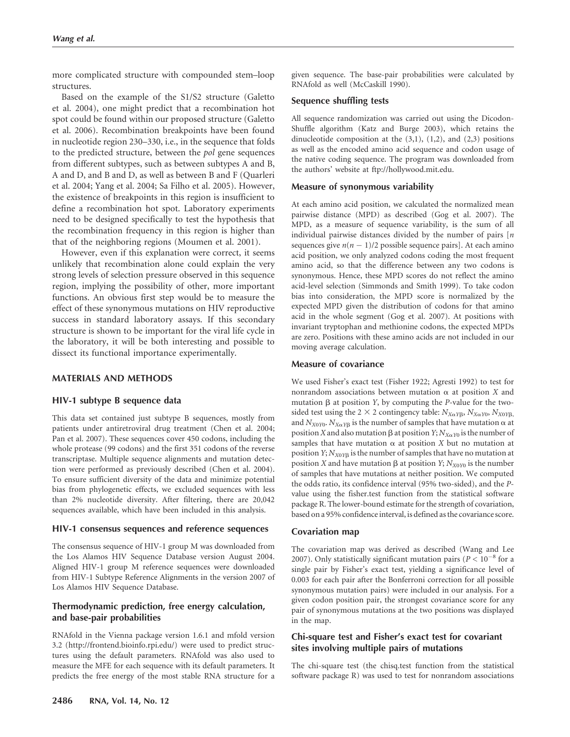more complicated structure with compounded stem–loop structures.

Based on the example of the S1/S2 structure (Galetto et al. 2004), one might predict that a recombination hot spot could be found within our proposed structure (Galetto et al. 2006). Recombination breakpoints have been found in nucleotide region 230–330, i.e., in the sequence that folds to the predicted structure, between the pol gene sequences from different subtypes, such as between subtypes A and B, A and D, and B and D, as well as between B and F (Quarleri et al. 2004; Yang et al. 2004; Sa Filho et al. 2005). However, the existence of breakpoints in this region is insufficient to define a recombination hot spot. Laboratory experiments need to be designed specifically to test the hypothesis that the recombination frequency in this region is higher than that of the neighboring regions (Moumen et al. 2001).

However, even if this explanation were correct, it seems unlikely that recombination alone could explain the very strong levels of selection pressure observed in this sequence region, implying the possibility of other, more important functions. An obvious first step would be to measure the effect of these synonymous mutations on HIV reproductive success in standard laboratory assays. If this secondary structure is shown to be important for the viral life cycle in the laboratory, it will be both interesting and possible to dissect its functional importance experimentally.

## MATERIALS AND METHODS

#### HIV-1 subtype B sequence data

This data set contained just subtype B sequences, mostly from patients under antiretroviral drug treatment (Chen et al. 2004; Pan et al. 2007). These sequences cover 450 codons, including the whole protease (99 codons) and the first 351 codons of the reverse transcriptase. Multiple sequence alignments and mutation detection were performed as previously described (Chen et al. 2004). To ensure sufficient diversity of the data and minimize potential bias from phylogenetic effects, we excluded sequences with less than 2% nucleotide diversity. After filtering, there are 20,042 sequences available, which have been included in this analysis.

#### HIV-1 consensus sequences and reference sequences

The consensus sequence of HIV-1 group M was downloaded from the Los Alamos HIV Sequence Database version August 2004. Aligned HIV-1 group M reference sequences were downloaded from HIV-1 Subtype Reference Alignments in the version 2007 of Los Alamos HIV Sequence Database.

# Thermodynamic prediction, free energy calculation, and base-pair probabilities

RNAfold in the Vienna package version 1.6.1 and mfold version 3.2 (http://frontend.bioinfo.rpi.edu/) were used to predict structures using the default parameters. RNAfold was also used to measure the MFE for each sequence with its default parameters. It predicts the free energy of the most stable RNA structure for a given sequence. The base-pair probabilities were calculated by RNAfold as well (McCaskill 1990).

#### Sequence shuffling tests

All sequence randomization was carried out using the Dicodon-Shuffle algorithm (Katz and Burge 2003), which retains the dinucleotide composition at the  $(3,1)$ ,  $(1,2)$ , and  $(2,3)$  positions as well as the encoded amino acid sequence and codon usage of the native coding sequence. The program was downloaded from the authors' website at ftp://hollywood.mit.edu.

#### Measure of synonymous variability

At each amino acid position, we calculated the normalized mean pairwise distance (MPD) as described (Gog et al. 2007). The MPD, as a measure of sequence variability, is the sum of all individual pairwise distances divided by the number of pairs  $[n]$ sequences give  $n(n - 1)/2$  possible sequence pairs]. At each amino acid position, we only analyzed codons coding the most frequent amino acid, so that the difference between any two codons is synonymous. Hence, these MPD scores do not reflect the amino acid-level selection (Simmonds and Smith 1999). To take codon bias into consideration, the MPD score is normalized by the expected MPD given the distribution of codons for that amino acid in the whole segment (Gog et al. 2007). At positions with invariant tryptophan and methionine codons, the expected MPDs are zero. Positions with these amino acids are not included in our moving average calculation.

#### Measure of covariance

We used Fisher's exact test (Fisher 1922; Agresti 1992) to test for nonrandom associations between mutation  $\alpha$  at position X and mutation  $\beta$  at position Y, by computing the P-value for the twosided test using the 2  $\times$  2 contingency table:  $N_{X\alpha Y\beta}$ ,  $N_{X\alpha Y0}$ ,  $N_{X0Y\beta}$ , and  $N_{X0Y0}$ .  $N_{X\alpha Y\beta}$  is the number of samples that have mutation  $\alpha$  at position X and also mutation  $\beta$  at position Y;  $N_{X\alpha Y0}$  is the number of samples that have mutation  $\alpha$  at position X but no mutation at position  $Y; N_{X0YB}$  is the number of samples that have no mutation at position X and have mutation  $\beta$  at position Y; N<sub>X0Y0</sub> is the number of samples that have mutations at neither position. We computed the odds ratio, its confidence interval (95% two-sided), and the Pvalue using the fisher.test function from the statistical software package R. The lower-bound estimate for the strength of covariation, based on a 95% confidence interval, is defined as the covariance score.

#### Covariation map

The covariation map was derived as described (Wang and Lee 2007). Only statistically significant mutation pairs ( $P < 10^{-8}$  for a single pair by Fisher's exact test, yielding a significance level of 0.003 for each pair after the Bonferroni correction for all possible synonymous mutation pairs) were included in our analysis. For a given codon position pair, the strongest covariance score for any pair of synonymous mutations at the two positions was displayed in the map.

# Chi-square test and Fisher's exact test for covariant sites involving multiple pairs of mutations

The chi-square test (the chisq.test function from the statistical software package R) was used to test for nonrandom associations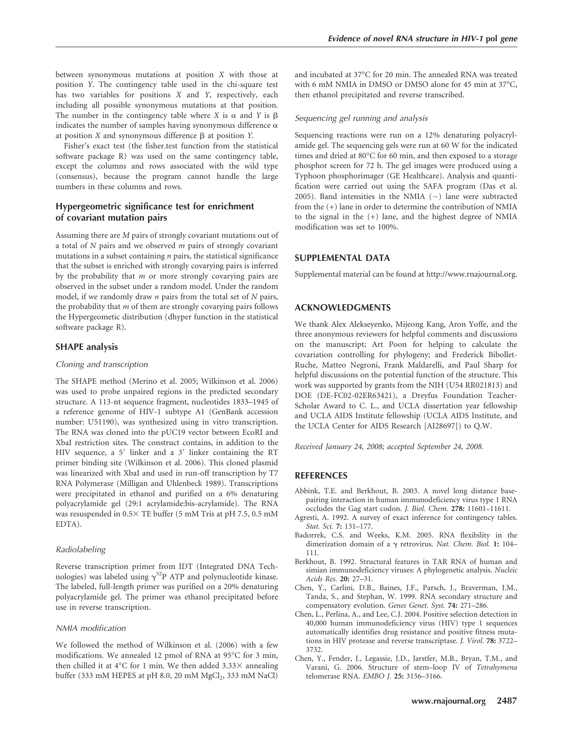between synonymous mutations at position X with those at position Y. The contingency table used in the chi-square test has two variables for positions X and Y, respectively, each including all possible synonymous mutations at that position. The number in the contingency table where X is  $\alpha$  and Y is  $\beta$ indicates the number of samples having synonymous difference  $\alpha$ at position  $X$  and synonymous difference  $\beta$  at position  $Y$ .

Fisher's exact test (the fisher.test function from the statistical software package R) was used on the same contingency table, except the columns and rows associated with the wild type (consensus), because the program cannot handle the large numbers in these columns and rows.

## Hypergeometric significance test for enrichment of covariant mutation pairs

Assuming there are M pairs of strongly covariant mutations out of a total of  $N$  pairs and we observed  $m$  pairs of strongly covariant mutations in a subset containing  $n$  pairs, the statistical significance that the subset is enriched with strongly covarying pairs is inferred by the probability that  $m$  or more strongly covarying pairs are observed in the subset under a random model. Under the random model, if we randomly draw  $n$  pairs from the total set of  $N$  pairs, the probability that  $m$  of them are strongly covarying pairs follows the Hypergeometic distribution (dhyper function in the statistical software package R).

# SHAPE analysis

#### Cloning and transcription

The SHAPE method (Merino et al. 2005; Wilkinson et al. 2006) was used to probe unpaired regions in the predicted secondary structure. A 113-nt sequence fragment, nucleotides 1833–1945 of a reference genome of HIV-1 subtype A1 (GenBank accession number: U51190), was synthesized using in vitro transcription. The RNA was cloned into the pUC19 vector between EcoRI and XbaI restriction sites. The construct contains, in addition to the HIV sequence, a  $5'$  linker and a  $3'$  linker containing the RT primer binding site (Wilkinson et al. 2006). This cloned plasmid was linearized with XbaI and used in run-off transcription by T7 RNA Polymerase (Milligan and Uhlenbeck 1989). Transcriptions were precipitated in ethanol and purified on a 6% denaturing polyacrylamide gel (29:1 acrylamide:bis-acrylamide). The RNA was resuspended in  $0.5 \times$  TE buffer (5 mM Tris at pH 7.5, 0.5 mM EDTA).

#### Radiolabeling

Reverse transcription primer from IDT (Integrated DNA Technologies) was labeled using  $\gamma^{32}P$  ATP and polynucleotide kinase. The labeled, full-length primer was purified on a 20% denaturing polyacrylamide gel. The primer was ethanol precipitated before use in reverse transcription.

#### NMIA modification

We followed the method of Wilkinson et al. (2006) with a few modifications. We annealed 12 pmol of RNA at 95°C for 3 min, then chilled it at 4°C for 1 min. We then added  $3.33\times$  annealing buffer (333 mM HEPES at pH 8.0, 20 mM MgCl<sub>2</sub>, 333 mM NaCl)

and incubated at 37°C for 20 min. The annealed RNA was treated with 6 mM NMIA in DMSO or DMSO alone for 45 min at 37°C, then ethanol precipitated and reverse transcribed.

#### Sequencing gel running and analysis

Sequencing reactions were run on a 12% denaturing polyacrylamide gel. The sequencing gels were run at 60 W for the indicated times and dried at 80°C for 60 min, and then exposed to a storage phosphor screen for 72 h. The gel images were produced using a Typhoon phosphorimager (GE Healthcare). Analysis and quantification were carried out using the SAFA program (Das et al.  $2005$ ). Band intensities in the NMIA  $(-)$  lane were subtracted from the (+) lane in order to determine the contribution of NMIA to the signal in the (+) lane, and the highest degree of NMIA modification was set to 100%.

#### SUPPLEMENTAL DATA

Supplemental material can be found at http://www.rnajournal.org.

# ACKNOWLEDGMENTS

We thank Alex Alekseyenko, Mijeong Kang, Aron Yoffe, and the three anonymous reviewers for helpful comments and discussions on the manuscript; Art Poon for helping to calculate the covariation controlling for phylogeny; and Frederick Bibollet-Ruche, Matteo Negroni, Frank Maldarelli, and Paul Sharp for helpful discussions on the potential function of the structure. This work was supported by grants from the NIH (U54 RR021813) and DOE (DE-FC02-02ER63421), a Dreyfus Foundation Teacher-Scholar Award to C. L., and UCLA dissertation year fellowship and UCLA AIDS Institute fellowship (UCLA AIDS Institute, and the UCLA Center for AIDS Research [AI28697]) to Q.W.

Received January 24, 2008; accepted September 24, 2008.

#### REFERENCES

- Abbink, T.E. and Berkhout, B. 2003. A novel long distance basepairing interaction in human immunodeficiency virus type 1 RNA occludes the Gag start codon. J. Biol. Chem. 278: 11601–11611.
- Agresti, A. 1992. A survey of exact inference for contingency tables. Stat. Sci. 7: 131–177.
- Badorrek, C.S. and Weeks, K.M. 2005. RNA flexibility in the dimerization domain of a  $\gamma$  retrovirus. Nat. Chem. Biol. 1: 104– 111.
- Berkhout, B. 1992. Structural features in TAR RNA of human and simian immunodeficiency viruses: A phylogenetic analysis. Nucleic Acids Res. 20: 27–31.
- Chen, Y., Carlini, D.B., Baines, J.F., Parsch, J., Braverman, J.M., Tanda, S., and Stephan, W. 1999. RNA secondary structure and compensatory evolution. Genes Genet. Syst. 74: 271–286.
- Chen, L., Perlina, A., and Lee, C.J. 2004. Positive selection detection in 40,000 human immunodeficiency virus (HIV) type 1 sequences automatically identifies drug resistance and positive fitness mutations in HIV protease and reverse transcriptase. J. Virol. 78: 3722– 3732.
- Chen, Y., Fender, J., Legassie, J.D., Jarstfer, M.B., Bryan, T.M., and Varani, G. 2006. Structure of stem–loop IV of Tetrahymena telomerase RNA. EMBO J. 25: 3156–3166.